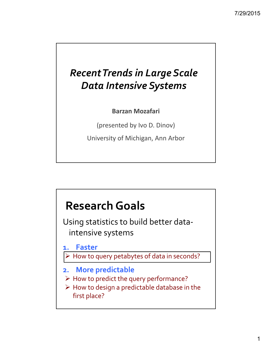## *RecentTrends in Large Scale Data Intensive Systems*

**Barzan Mozafari**

(presented by Ivo D. Dinov)

University of Michigan, Ann Arbor

## **ResearchGoals**

Using statistics to build better data‐ intensive systems

**1. Faster**

- How to query petabytes of data in seconds?
- **2. More predictable**
- $\triangleright$  How to predict the query performance?
- $\triangleright$  How to design a predictable database in the first place?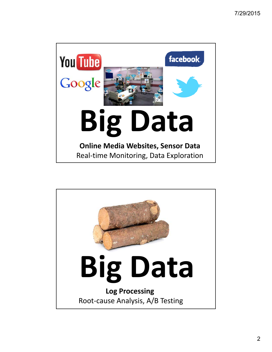

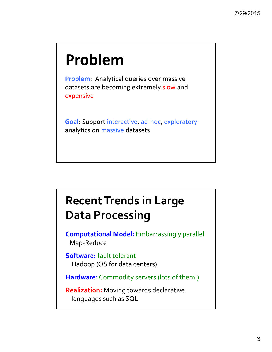# **Problem**

**Problem:** Analytical queries over massive datasets are becoming extremely slow and expensive

**Goal**: Support interactive, ad‐hoc, exploratory analytics on massive datasets

# **RecentTrends in Large Data Processing**

**Computational Model:** Embarrassingly parallel Map‐Reduce

**Software:** fault tolerant Hadoop (OS for data centers)

**Hardware:** Commodity servers (lots of them!)

**Realization:** Moving towards declarative languages such as SQL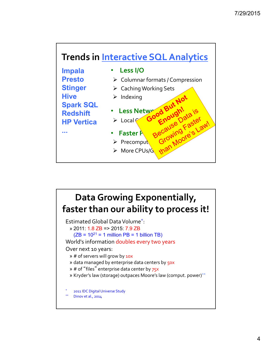



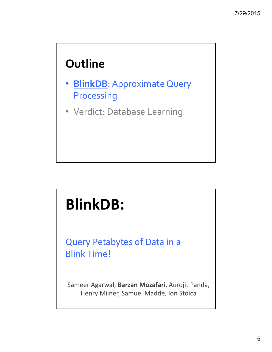# **Outline**

- **BlinkDB**: Approximate Query Processing
- Verdict: Database Learning

# **BlinkDB:**

Query Petabytes of Data in a Blink Time!

Sameer Agarwal, **Barzan Mozafari**, Aurojit Panda, Henry Milner, Samuel Madde, Ion Stoica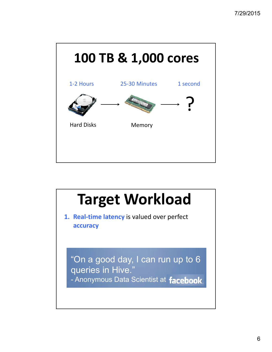

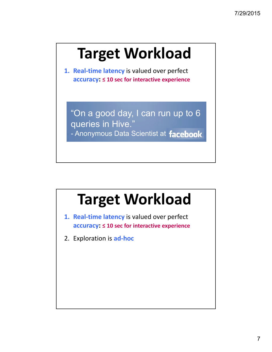# **Target Workload**

**1. Real‐time latency** is valued over perfect **accuracy: ≤ 10 sec for interactive experience**

"On a good day, I can run up to 6 queries in Hive." - Anonymous Data Scientist at facebook.

# **Target Workload**

**1. Real‐time latency** is valued over perfect **accuracy: ≤ 10 sec for interactive experience**

2. Exploration is **ad‐hoc**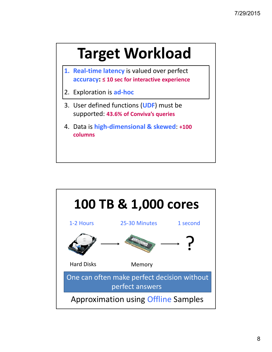# **Target Workload**

- **1. Real‐time latency** is valued over perfect **accuracy: ≤ 10 sec for interactive experience**
- 2. Exploration is **ad‐hoc**
- 3. User defined functions (**UDF**) must be supported: **43.6% of Conviva's queries**
- 4. Data is **high‐dimensional & skewed**: **+100 columns**

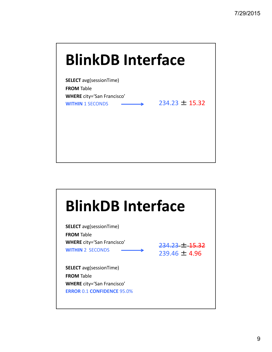# **SELECT** avg(sessionTime) **FROM** Table **WHERE** city='San Francisco' **WITHIN** 1 SECONDS **234.23** ± 15.32 **BlinkDB Interface**

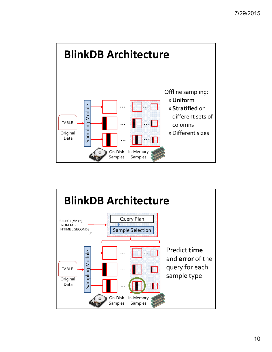

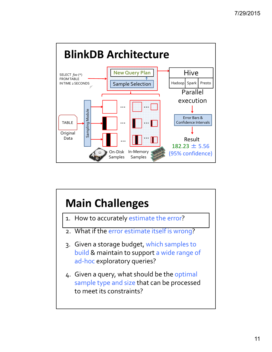

# **Main Challenges**

- 1. How to accurately estimate the error?
- 2. What if the error estimate itself is wrong?
- 3. Given a storage budget, which samples to build & maintain to support a wide range of ad-hoc exploratory queries?
- 4. Given a query, what should be the optimal sample type and size that can be processed to meet its constraints?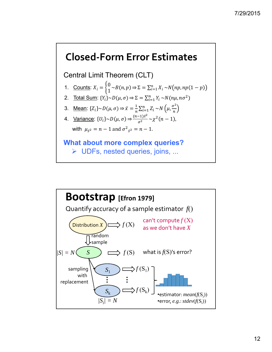#### **Closed‐Form Error Estimates**

Central Limit Theorem (CLT)

- 1. Counts:  $X_i = \begin{cases} 0 \\ 1 \end{cases} \sim B(n, p) \Rightarrow \Sigma = \sum_{i=1}^n X_i \sim N(np, np(1-p))$
- 2. Total Sum:  $\{Y_i\} \sim D(\mu, \sigma) \Rightarrow \Sigma = \sum_{i=1}^n Y_i \sim N(n\mu, n\sigma^2)$
- 3. Mean:  $\{Z_i\} \sim D(\mu, \sigma) \Rightarrow \bar{x} = \frac{1}{n} \sum_{i=1}^n Z_i \sim N\left(\mu, \frac{\sigma^2}{n}\right)$

4. Variance: 
$$
\{U_i\} \sim D(\mu, \sigma) \Rightarrow \frac{(n-1)\bar{s}^2}{\sigma^2} \sim \chi^2(n-1)
$$
,  
with  $\mu_{\bar{s}^2} = n - 1$  and  $\sigma^2_{\bar{s}^2} = n - 1$ .

#### **What about more complex queries?** UDFs, nested queries, joins, ...

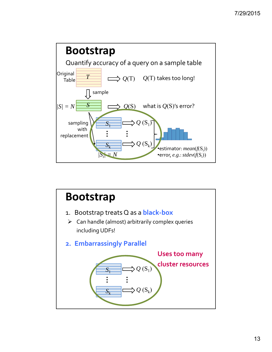

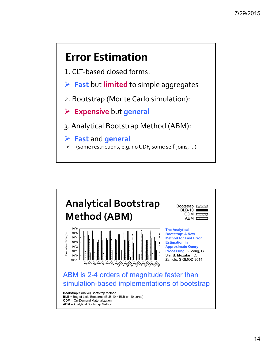## **Error Estimation**

- 1. CLT‐based closed forms:
- **Fast** but **limited** to simple aggregates
- 2. Bootstrap (Monte Carlo simulation):
- **Expensive** but **general**
- 3. Analytical Bootstrap Method (ABM):
- **Fast** and **general**
	- (some restrictions, e.g. no UDF, some self‐joins, ...)

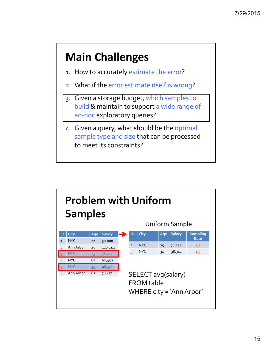## **Main Challenges**

- 1. How to accurately estimate the error?
- 2. What if the error estimate itself is wrong?
- 3. Given a storage budget, which samples to build & maintain to support a wide range of ad-hoc exploratory queries?
- 4. Given a query, what should be the optimal sample type and size that can be processed to meet its constraints?

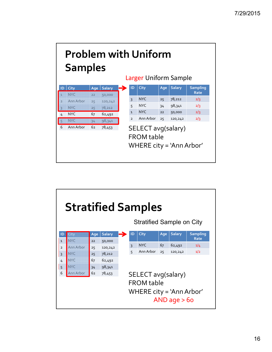

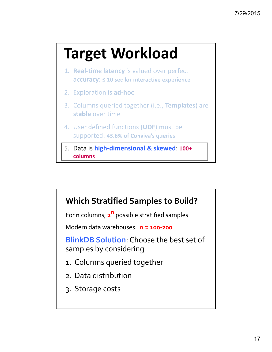# **Target Workload**

- 1. Real-time latency is valued over perfect  $accuracy:  $\leq 10$  sec for interactive experience$
- 2. Exploration is ad-hoc
- 3. Columns queried together (i.e., Templates) are stable over time
- 4. User defined functions (UDF) must be supported: 43.6% of Conviva's queries
- 5. Data is **high‐dimensional & skewed**: **100+ columns**



- 1. Columns queried together
- 2. Data distribution
- 3. Storage costs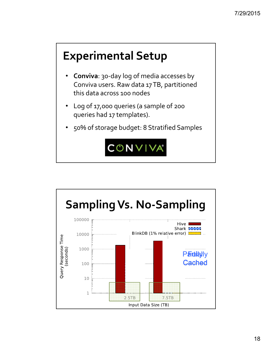# **Experimental Setup**

- **Conviva**: 30‐day log of media accesses by Conviva users. Raw data 17TB, partitioned this data across 100 nodes
- Log of 17,000 queries (a sample of 200 queries had 17 templates).
- 50% of storage budget: 8 Stratified Samples



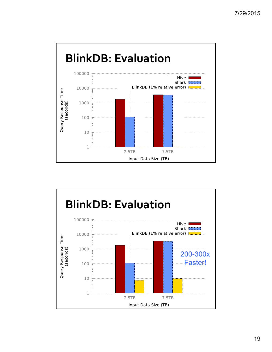

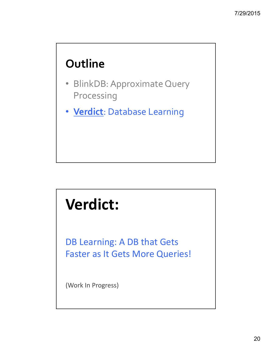# **Outline**

- BlinkDB: Approximate Query Processing
- **Verdict**: Database Learning

# **Verdict:**

DB Learning: A DB that Gets Faster as It Gets More Queries!

(Work In Progress)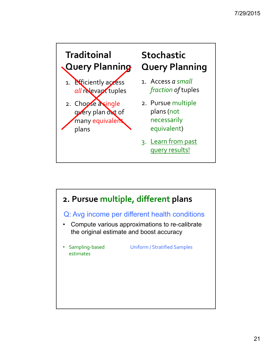

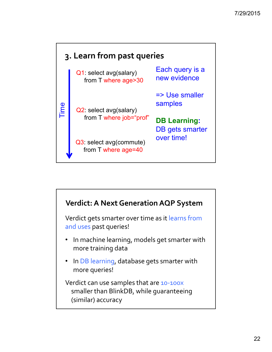